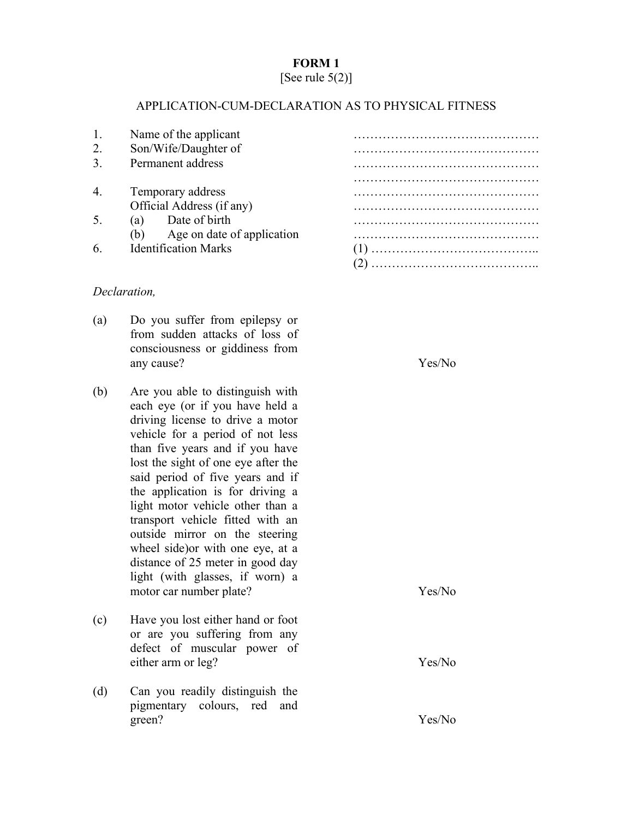## **FORM 1**

## [See rule  $5(2)$ ]

## APPLICATION-CUM-DECLARATION AS TO PHYSICAL FITNESS

|    | Name of the applicant             |  |
|----|-----------------------------------|--|
| 2. | Son/Wife/Daughter of              |  |
| 3. | Permanent address                 |  |
|    |                                   |  |
| 4. | Temporary address                 |  |
|    | Official Address (if any)         |  |
| 5. | Date of birth<br>(a)              |  |
|    | Age on date of application<br>(b) |  |
| 6. | <b>Identification Marks</b>       |  |
|    |                                   |  |

## *Declaration,*

- (a) Do you suffer from epilepsy or from sudden attacks of loss of consciousness or giddiness from any cause?
- (b) Are you able to distinguish with each eye (or if you have held a driving license to drive a motor vehicle for a period of not less than five years and if you have lost the sight of one eye after the said period of five years and if the application is for driving a light motor vehicle other than a transport vehicle fitted with an outside mirror on the steering wheel side)or with one eye, at a distance of 25 meter in good day light (with glasses, if worn) a motor car number plate?
- (c) Have you lost either hand or foot or are you suffering from any defect of muscular power of either arm or leg?
- (d) Can you readily distinguish the pigmentary colours, red and green?

Yes/No

Yes/No

Yes/No

Yes/No